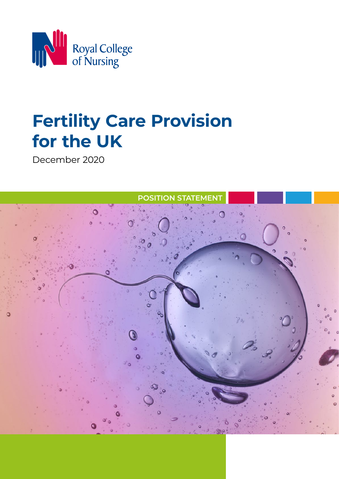

# **Fertility Care Provision for the UK**

December 2020

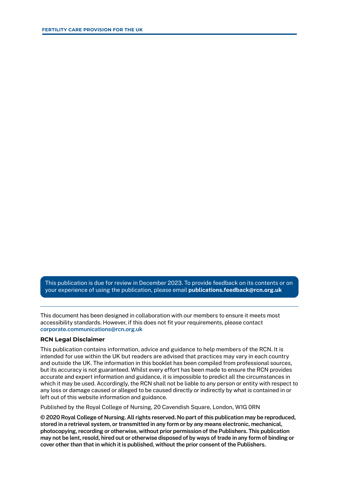This publication is due for review in December 2023. To provide feedback on its contents or on your experience of using the publication, please email **[publications.feedback@rcn.org.uk](mailto:publications.feedback@rcn.org.uk)**

This document has been designed in collaboration with our members to ensure it meets most accessibility standards. However, if this does not fit your requirements, please contact **[corporate.communications@rcn.org.uk](mailto:corporate.communications@rcn.org.uk)**

#### **RCN Legal Disclaimer**

This publication contains information, advice and guidance to help members of the RCN. It is intended for use within the UK but readers are advised that practices may vary in each country and outside the UK. The information in this booklet has been compiled from professional sources, but its accuracy is not guaranteed. Whilst every effort has been made to ensure the RCN provides accurate and expert information and guidance, it is impossible to predict all the circumstances in which it may be used. Accordingly, the RCN shall not be liable to any person or entity with respect to any loss or damage caused or alleged to be caused directly or indirectly by what is contained in or left out of this website information and guidance.

Published by the Royal College of Nursing, 20 Cavendish Square, London, W1G 0RN

**© 2020 Royal College of Nursing. All rights reserved. No part of this publication may be reproduced, stored in a retrieval system, or transmitted in any form or by any means electronic, mechanical, photocopying, recording or otherwise, without prior permission of the Publishers. This publication may not be lent, resold, hired out or otherwise disposed of by ways of trade in any form of binding or cover other than that in which it is published, without the prior consent of the Publishers.**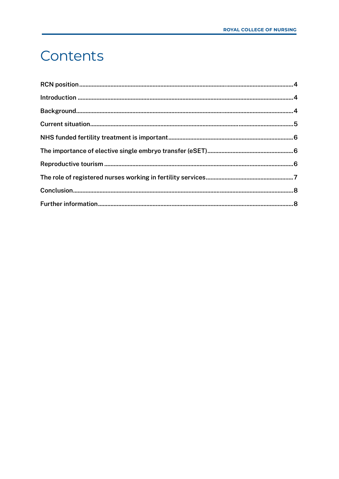#### <span id="page-2-0"></span>Contents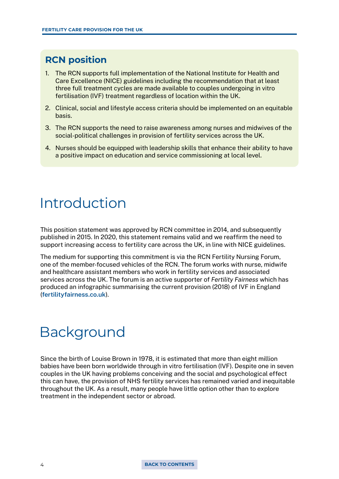#### <span id="page-3-0"></span>**RCN position**

- 1. The RCN supports full implementation of the National Institute for Health and Care Excellence (NICE) guidelines including the recommendation that at least three full treatment cycles are made available to couples undergoing in vitro fertilisation (IVF) treatment regardless of location within the UK.
- 2. Clinical, social and lifestyle access criteria should be implemented on an equitable basis.
- 3. The RCN supports the need to raise awareness among nurses and midwives of the social-political challenges in provision of fertility services across the UK.
- 4. Nurses should be equipped with leadership skills that enhance their ability to have a positive impact on education and service commissioning at local level.

### Introduction

This position statement was approved by RCN committee in 2014, and subsequently published in 2015. In 2020, this statement remains valid and we reaffirm the need to support increasing access to fertility care across the UK, in line with NICE guidelines.

The medium for supporting this commitment is via the RCN Fertility Nursing Forum, one of the member-focused vehicles of the RCN. The forum works with nurse, midwife and healthcare assistant members who work in fertility services and associated services across the UK. The forum is an active supporter of *Fertility Fairness* which has produced an infographic summarising the current provision (2018) of IVF in England (**[fertilityfairness.co.uk](http://fertilityfairness.co.uk)**).

## Background

Since the birth of Louise Brown in 1978, it is estimated that more than eight million babies have been born worldwide through in vitro fertilisation (IVF). Despite one in seven couples in the UK having problems conceiving and the social and psychological effect this can have, the provision of NHS fertility services has remained varied and inequitable throughout the UK. As a result, many people have little option other than to explore treatment in the independent sector or abroad.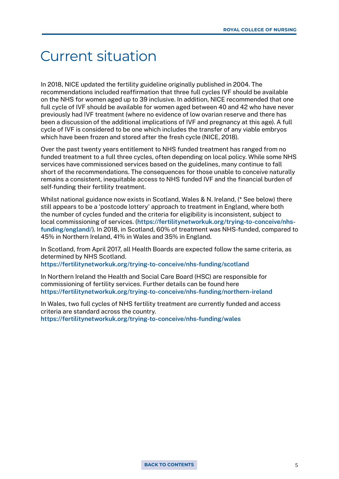#### <span id="page-4-0"></span>Current situation

In 2018, NICE updated the fertility guideline originally published in 2004. The recommendations included reaffirmation that three full cycles IVF should be available on the NHS for women aged up to 39 inclusive. In addition, NICE recommended that one full cycle of IVF should be available for women aged between 40 and 42 who have never previously had IVF treatment (where no evidence of low ovarian reserve and there has been a discussion of the additional implications of IVF and pregnancy at this age). A full cycle of IVF is considered to be one which includes the transfer of any viable embryos which have been frozen and stored after the fresh cycle (NICE, 2018).

Over the past twenty years entitlement to NHS funded treatment has ranged from no funded treatment to a full three cycles, often depending on local policy. While some NHS services have commissioned services based on the guidelines, many continue to fall short of the recommendations. The consequences for those unable to conceive naturally remains a consistent, inequitable access to NHS funded IVF and the financial burden of self-funding their fertility treatment.

Whilst national guidance now exists in Scotland, Wales & N. Ireland, (\* See below) there still appears to be a 'postcode lottery' approach to treatment in England, where both the number of cycles funded and the criteria for eligibility is inconsistent, subject to local commissioning of services. (**[https://fertilitynetworkuk.org/trying-to-conceive/nhs](https://fertilitynetworkuk.org/trying-to-conceive/nhs-funding/england/)[funding/england/](https://fertilitynetworkuk.org/trying-to-conceive/nhs-funding/england/)**). In 2018, in Scotland, 60% of treatment was NHS-funded, compared to 45% in Northern Ireland, 41% in Wales and 35% in England.

In Scotland, from April 2017, all Health Boards are expected follow the same criteria, as determined by NHS Scotland.

**<https://fertilitynetworkuk.org/trying-to-conceive/nhs-funding/scotland>**

In Northern Ireland the Health and Social Care Board (HSC) are responsible for commissioning of fertility services. Further details can be found here **<https://fertilitynetworkuk.org/trying-to-conceive/nhs-funding/northern-ireland>**

In Wales, two full cycles of NHS fertility treatment are currently funded and access criteria are standard across the country. **<https://fertilitynetworkuk.org/trying-to-conceive/nhs-funding/wales>**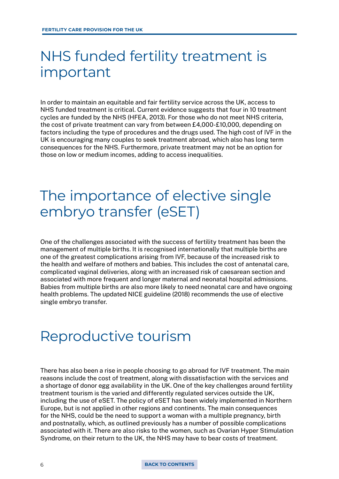#### <span id="page-5-0"></span>NHS funded fertility treatment is important

In order to maintain an equitable and fair fertility service across the UK, access to NHS funded treatment is critical. Current evidence suggests that four in 10 treatment cycles are funded by the NHS (HFEA, 2013). For those who do not meet NHS criteria, the cost of private treatment can vary from between £4,000-£10,000, depending on factors including the type of procedures and the drugs used. The high cost of IVF in the UK is encouraging many couples to seek treatment abroad, which also has long term consequences for the NHS. Furthermore, private treatment may not be an option for those on low or medium incomes, adding to access inequalities.

#### The importance of elective single embryo transfer (eSET)

One of the challenges associated with the success of fertility treatment has been the management of multiple births. It is recognised internationally that multiple births are one of the greatest complications arising from IVF, because of the increased risk to the health and welfare of mothers and babies. This includes the cost of antenatal care, complicated vaginal deliveries, along with an increased risk of caesarean section and associated with more frequent and longer maternal and neonatal hospital admissions. Babies from multiple births are also more likely to need neonatal care and have ongoing health problems. The updated NICE guideline (2018) recommends the use of elective single embryo transfer.

#### Reproductive tourism

There has also been a rise in people choosing to go abroad for IVF treatment. The main reasons include the cost of treatment, along with dissatisfaction with the services and a shortage of donor egg availability in the UK. One of the key challenges around fertility treatment tourism is the varied and differently regulated services outside the UK, including the use of eSET. The policy of eSET has been widely implemented in Northern Europe, but is not applied in other regions and continents. The main consequences for the NHS, could be the need to support a woman with a multiple pregnancy, birth and postnatally, which, as outlined previously has a number of possible complications associated with it. There are also risks to the women, such as Ovarian Hyper Stimulation Syndrome, on their return to the UK, the NHS may have to bear costs of treatment.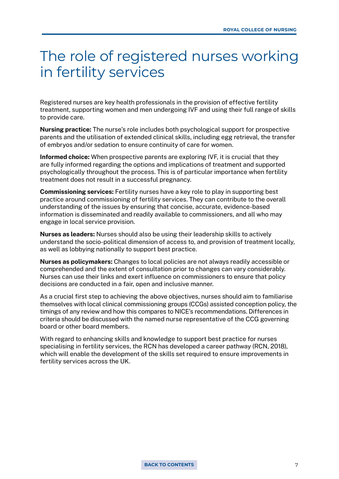#### <span id="page-6-0"></span>The role of registered nurses working in fertility services

Registered nurses are key health professionals in the provision of effective fertility treatment, supporting women and men undergoing IVF and using their full range of skills to provide care.

**Nursing practice:** The nurse's role includes both psychological support for prospective parents and the utilisation of extended clinical skills, including egg retrieval, the transfer of embryos and/or sedation to ensure continuity of care for women.

**Informed choice:** When prospective parents are exploring IVF, it is crucial that they are fully informed regarding the options and implications of treatment and supported psychologically throughout the process. This is of particular importance when fertility treatment does not result in a successful pregnancy.

**Commissioning services:** Fertility nurses have a key role to play in supporting best practice around commissioning of fertility services. They can contribute to the overall understanding of the issues by ensuring that concise, accurate, evidence-based information is disseminated and readily available to commissioners, and all who may engage in local service provision.

**Nurses as leaders:** Nurses should also be using their leadership skills to actively understand the socio-political dimension of access to, and provision of treatment locally, as well as lobbying nationally to support best practice.

**Nurses as policymakers:** Changes to local policies are not always readily accessible or comprehended and the extent of consultation prior to changes can vary considerably. Nurses can use their links and exert influence on commissioners to ensure that policy decisions are conducted in a fair, open and inclusive manner.

As a crucial first step to achieving the above objectives, nurses should aim to familiarise themselves with local clinical commissioning groups (CCGs) assisted conception policy, the timings of any review and how this compares to NICE's recommendations. Differences in criteria should be discussed with the named nurse representative of the CCG governing board or other board members.

With regard to enhancing skills and knowledge to support best practice for nurses specialising in fertility services, the RCN has developed a career pathway (RCN, 2018), which will enable the development of the skills set required to ensure improvements in fertility services across the UK.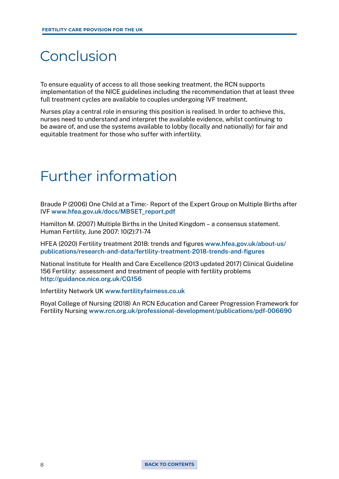#### <span id="page-7-0"></span>Conclusion

To ensure equality of access to all those seeking treatment, the RCN supports implementation of the NICE guidelines including the recommendation that at least three full treatment cycles are available to couples undergoing IVF treatment.

Nurses play a central role in ensuring this position is realised. In order to achieve this, nurses need to understand and interpret the available evidence, whilst continuing to be aware of, and use the systems available to lobby (locally and nationally) for fair and equitable treatment for those who suffer with infertility.

#### Further information

Braude P (2006) One Child at a Time:- Report of the Expert Group on Multiple Births after IVF **[www.hfea.gov.uk/docs/MBSET\\_report.pdf](http://www.hfea.gov.uk/docs/MBSET_report.pdf)** 

Hamilton M. (2007) Multiple Births in the United Kingdom – a consensus statement. Human Fertility, June 2007: 10(2):71-74

HFEA (2020) Fertility treatment 2018: trends and figures **[www.hfea.gov.uk/about-us/](http://www.hfea.gov.uk/about-us/publications/research-and-data/fertility-treatment-2018-trends-and-figures) [publications/research-and-data/fertility-treatment-2018-trends-and-figures](http://www.hfea.gov.uk/about-us/publications/research-and-data/fertility-treatment-2018-trends-and-figures)** 

National Institute for Health and Care Excellence (2013 updated 2017) Clinical Guideline 156 Fertility: assessment and treatment of people with fertility problems **<http://guidance.nice.org.uk/CG156>**

Infertility Network UK **[www.fertilityfairness.co.uk](http://www.fertilityfairness.co.uk)**

Royal College of Nursing (2018) An RCN Education and Career Progression Framework for Fertility Nursing **[www.rcn.org.uk/professional-development/publications/pdf-006690](http://www.rcn.org.uk/professional-development/publications/pdf-006690)**